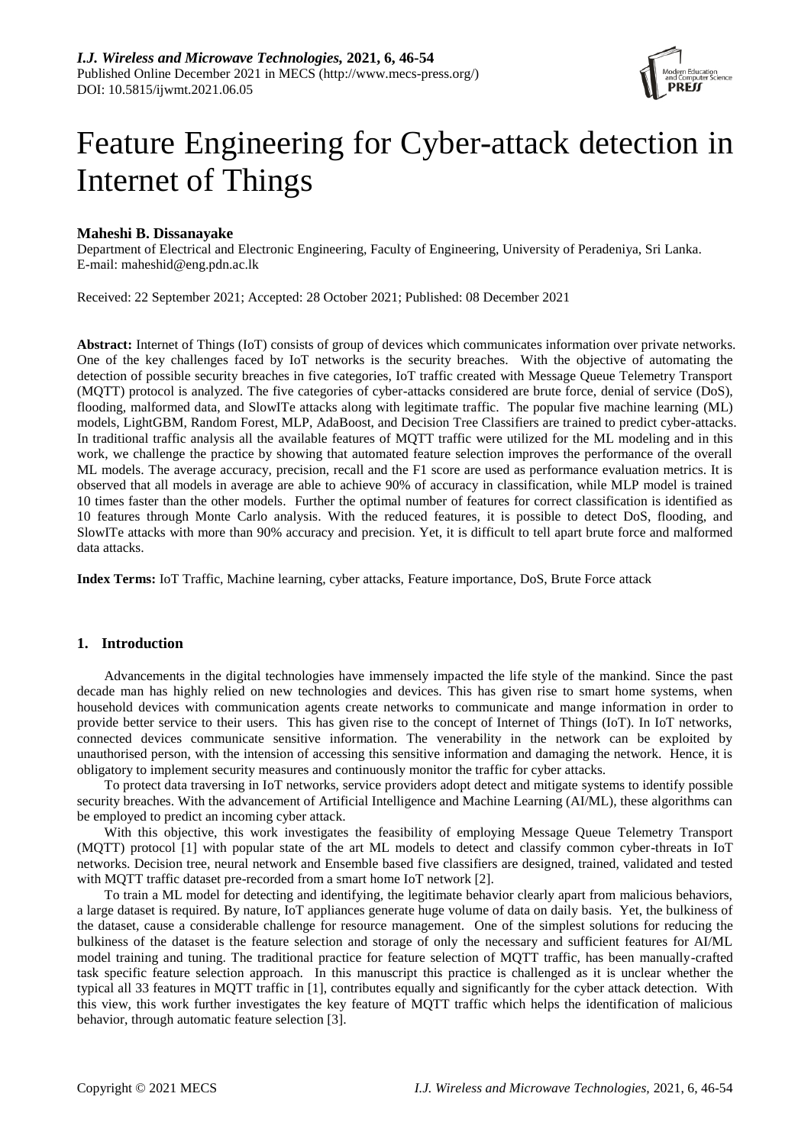

# Feature Engineering for Cyber-attack detection in Internet of Things

## **Maheshi B. Dissanayake**

Department of Electrical and Electronic Engineering, Faculty of Engineering, University of Peradeniya, Sri Lanka. E-mail: maheshid@eng.pdn.ac.lk

Received: 22 September 2021; Accepted: 28 October 2021; Published: 08 December 2021

**Abstract:** Internet of Things (IoT) consists of group of devices which communicates information over private networks. One of the key challenges faced by IoT networks is the security breaches. With the objective of automating the detection of possible security breaches in five categories, IoT traffic created with Message Queue Telemetry Transport (MQTT) protocol is analyzed. The five categories of cyber-attacks considered are brute force, denial of service (DoS), flooding, malformed data, and SlowITe attacks along with legitimate traffic. The popular five machine learning (ML) models, LightGBM, Random Forest, MLP, AdaBoost, and Decision Tree Classifiers are trained to predict cyber-attacks. In traditional traffic analysis all the available features of MQTT traffic were utilized for the ML modeling and in this work, we challenge the practice by showing that automated feature selection improves the performance of the overall ML models. The average accuracy, precision, recall and the F1 score are used as performance evaluation metrics. It is observed that all models in average are able to achieve 90% of accuracy in classification, while MLP model is trained 10 times faster than the other models. Further the optimal number of features for correct classification is identified as 10 features through Monte Carlo analysis. With the reduced features, it is possible to detect DoS, flooding, and SlowITe attacks with more than 90% accuracy and precision. Yet, it is difficult to tell apart brute force and malformed data attacks.

**Index Terms:** IoT Traffic, Machine learning, cyber attacks, Feature importance, DoS, Brute Force attack

### **1. Introduction**

Advancements in the digital technologies have immensely impacted the life style of the mankind. Since the past decade man has highly relied on new technologies and devices. This has given rise to smart home systems, when household devices with communication agents create networks to communicate and mange information in order to provide better service to their users. This has given rise to the concept of Internet of Things (IoT). In IoT networks, connected devices communicate sensitive information. The venerability in the network can be exploited by unauthorised person, with the intension of accessing this sensitive information and damaging the network. Hence, it is obligatory to implement security measures and continuously monitor the traffic for cyber attacks.

To protect data traversing in IoT networks, service providers adopt detect and mitigate systems to identify possible security breaches. With the advancement of Artificial Intelligence and Machine Learning (AI/ML), these algorithms can be employed to predict an incoming cyber attack.

With this objective, this work investigates the feasibility of employing Message Queue Telemetry Transport (MQTT) protocol [1] with popular state of the art ML models to detect and classify common cyber-threats in IoT networks. Decision tree, neural network and Ensemble based five classifiers are designed, trained, validated and tested with MQTT traffic dataset pre-recorded from a smart home IoT network [2].

To train a ML model for detecting and identifying, the legitimate behavior clearly apart from malicious behaviors, a large dataset is required. By nature, IoT appliances generate huge volume of data on daily basis. Yet, the bulkiness of the dataset, cause a considerable challenge for resource management. One of the simplest solutions for reducing the bulkiness of the dataset is the feature selection and storage of only the necessary and sufficient features for AI/ML model training and tuning. The traditional practice for feature selection of MQTT traffic, has been manually-crafted task specific feature selection approach. In this manuscript this practice is challenged as it is unclear whether the typical all 33 features in MQTT traffic in [1], contributes equally and significantly for the cyber attack detection. With this view, this work further investigates the key feature of MQTT traffic which helps the identification of malicious behavior, through automatic feature selection [3].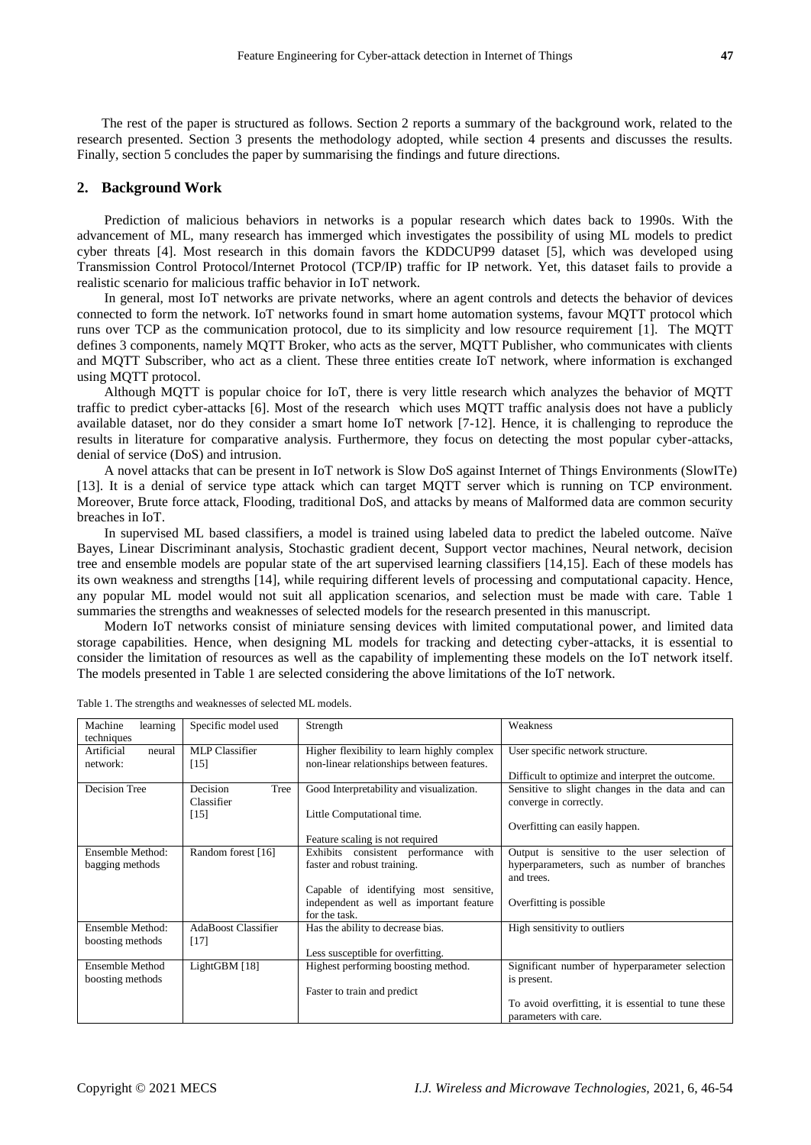The rest of the paper is structured as follows. Section 2 reports a summary of the background work, related to the research presented. Section 3 presents the methodology adopted, while section 4 presents and discusses the results. Finally, section 5 concludes the paper by summarising the findings and future directions.

### **2. Background Work**

Prediction of malicious behaviors in networks is a popular research which dates back to 1990s. With the advancement of ML, many research has immerged which investigates the possibility of using ML models to predict cyber threats [4]. Most research in this domain favors the KDDCUP99 dataset [5], which was developed using Transmission Control Protocol/Internet Protocol (TCP/IP) traffic for IP network. Yet, this dataset fails to provide a realistic scenario for malicious traffic behavior in IoT network.

In general, most IoT networks are private networks, where an agent controls and detects the behavior of devices connected to form the network. IoT networks found in smart home automation systems, favour MQTT protocol which runs over TCP as the communication protocol, due to its simplicity and low resource requirement [1]. The MQTT defines 3 components, namely MQTT Broker, who acts as the server, MQTT Publisher, who communicates with clients and MQTT Subscriber, who act as a client. These three entities create IoT network, where information is exchanged using MQTT protocol.

Although MQTT is popular choice for IoT, there is very little research which analyzes the behavior of MQTT traffic to predict cyber-attacks [6]. Most of the research which uses MQTT traffic analysis does not have a publicly available dataset, nor do they consider a smart home IoT network [7-12]. Hence, it is challenging to reproduce the results in literature for comparative analysis. Furthermore, they focus on detecting the most popular cyber-attacks, denial of service (DoS) and intrusion.

A novel attacks that can be present in IoT network is Slow DoS against Internet of Things Environments (SlowITe) [13]. It is a denial of service type attack which can target MQTT server which is running on TCP environment. Moreover, Brute force attack, Flooding, traditional DoS, and attacks by means of Malformed data are common security breaches in IoT.

In supervised ML based classifiers, a model is trained using labeled data to predict the labeled outcome. Naïve Bayes, Linear Discriminant analysis, Stochastic gradient decent, Support vector machines, Neural network, decision tree and ensemble models are popular state of the art supervised learning classifiers [14,15]. Each of these models has its own weakness and strengths [14], while requiring different levels of processing and computational capacity. Hence, any popular ML model would not suit all application scenarios, and selection must be made with care. Table 1 summaries the strengths and weaknesses of selected models for the research presented in this manuscript.

Modern IoT networks consist of miniature sensing devices with limited computational power, and limited data storage capabilities. Hence, when designing ML models for tracking and detecting cyber-attacks, it is essential to consider the limitation of resources as well as the capability of implementing these models on the IoT network itself. The models presented in Table 1 are selected considering the above limitations of the IoT network.

| techniques<br>MLP Classifier<br>User specific network structure.<br>Artificial<br>Higher flexibility to learn highly complex<br>neural<br>non-linear relationships between features.<br>$[15]$<br>network:<br>Difficult to optimize and interpret the outcome.<br>Decision<br>Decision Tree<br>Good Interpretability and visualization.<br>Sensitive to slight changes in the data and can<br>Tree<br>converge in correctly.<br>Classifier<br>Little Computational time.<br>[15]<br>Overfitting can easily happen.<br>Feature scaling is not required<br>Ensemble Method:<br>Random forest [16]<br>with<br>Exhibits consistent performance<br>faster and robust training.<br>hyperparameters, such as number of branches<br>bagging methods<br>and trees.<br>Capable of identifying most sensitive,<br>independent as well as important feature<br>Overfitting is possible<br>for the task.<br>AdaBoost Classifier<br>High sensitivity to outliers<br>Ensemble Method:<br>Has the ability to decrease bias.<br>boosting methods<br>$[17]$<br>Less susceptible for overfitting.<br>Ensemble Method<br>LightGBM [18]<br>Highest performing boosting method.<br>Significant number of hyperparameter selection<br>boosting methods<br>is present.<br>Faster to train and predict | Machine<br>learning | Specific model used | Strength | Weakness                                     |
|-------------------------------------------------------------------------------------------------------------------------------------------------------------------------------------------------------------------------------------------------------------------------------------------------------------------------------------------------------------------------------------------------------------------------------------------------------------------------------------------------------------------------------------------------------------------------------------------------------------------------------------------------------------------------------------------------------------------------------------------------------------------------------------------------------------------------------------------------------------------------------------------------------------------------------------------------------------------------------------------------------------------------------------------------------------------------------------------------------------------------------------------------------------------------------------------------------------------------------------------------------------------------------|---------------------|---------------------|----------|----------------------------------------------|
|                                                                                                                                                                                                                                                                                                                                                                                                                                                                                                                                                                                                                                                                                                                                                                                                                                                                                                                                                                                                                                                                                                                                                                                                                                                                               |                     |                     |          |                                              |
|                                                                                                                                                                                                                                                                                                                                                                                                                                                                                                                                                                                                                                                                                                                                                                                                                                                                                                                                                                                                                                                                                                                                                                                                                                                                               |                     |                     |          |                                              |
|                                                                                                                                                                                                                                                                                                                                                                                                                                                                                                                                                                                                                                                                                                                                                                                                                                                                                                                                                                                                                                                                                                                                                                                                                                                                               |                     |                     |          |                                              |
|                                                                                                                                                                                                                                                                                                                                                                                                                                                                                                                                                                                                                                                                                                                                                                                                                                                                                                                                                                                                                                                                                                                                                                                                                                                                               |                     |                     |          |                                              |
|                                                                                                                                                                                                                                                                                                                                                                                                                                                                                                                                                                                                                                                                                                                                                                                                                                                                                                                                                                                                                                                                                                                                                                                                                                                                               |                     |                     |          |                                              |
|                                                                                                                                                                                                                                                                                                                                                                                                                                                                                                                                                                                                                                                                                                                                                                                                                                                                                                                                                                                                                                                                                                                                                                                                                                                                               |                     |                     |          |                                              |
|                                                                                                                                                                                                                                                                                                                                                                                                                                                                                                                                                                                                                                                                                                                                                                                                                                                                                                                                                                                                                                                                                                                                                                                                                                                                               |                     |                     |          |                                              |
|                                                                                                                                                                                                                                                                                                                                                                                                                                                                                                                                                                                                                                                                                                                                                                                                                                                                                                                                                                                                                                                                                                                                                                                                                                                                               |                     |                     |          |                                              |
|                                                                                                                                                                                                                                                                                                                                                                                                                                                                                                                                                                                                                                                                                                                                                                                                                                                                                                                                                                                                                                                                                                                                                                                                                                                                               |                     |                     |          |                                              |
|                                                                                                                                                                                                                                                                                                                                                                                                                                                                                                                                                                                                                                                                                                                                                                                                                                                                                                                                                                                                                                                                                                                                                                                                                                                                               |                     |                     |          | Output is sensitive to the user selection of |
|                                                                                                                                                                                                                                                                                                                                                                                                                                                                                                                                                                                                                                                                                                                                                                                                                                                                                                                                                                                                                                                                                                                                                                                                                                                                               |                     |                     |          |                                              |
|                                                                                                                                                                                                                                                                                                                                                                                                                                                                                                                                                                                                                                                                                                                                                                                                                                                                                                                                                                                                                                                                                                                                                                                                                                                                               |                     |                     |          |                                              |
|                                                                                                                                                                                                                                                                                                                                                                                                                                                                                                                                                                                                                                                                                                                                                                                                                                                                                                                                                                                                                                                                                                                                                                                                                                                                               |                     |                     |          |                                              |
|                                                                                                                                                                                                                                                                                                                                                                                                                                                                                                                                                                                                                                                                                                                                                                                                                                                                                                                                                                                                                                                                                                                                                                                                                                                                               |                     |                     |          |                                              |
|                                                                                                                                                                                                                                                                                                                                                                                                                                                                                                                                                                                                                                                                                                                                                                                                                                                                                                                                                                                                                                                                                                                                                                                                                                                                               |                     |                     |          |                                              |
|                                                                                                                                                                                                                                                                                                                                                                                                                                                                                                                                                                                                                                                                                                                                                                                                                                                                                                                                                                                                                                                                                                                                                                                                                                                                               |                     |                     |          |                                              |
|                                                                                                                                                                                                                                                                                                                                                                                                                                                                                                                                                                                                                                                                                                                                                                                                                                                                                                                                                                                                                                                                                                                                                                                                                                                                               |                     |                     |          |                                              |
|                                                                                                                                                                                                                                                                                                                                                                                                                                                                                                                                                                                                                                                                                                                                                                                                                                                                                                                                                                                                                                                                                                                                                                                                                                                                               |                     |                     |          |                                              |
|                                                                                                                                                                                                                                                                                                                                                                                                                                                                                                                                                                                                                                                                                                                                                                                                                                                                                                                                                                                                                                                                                                                                                                                                                                                                               |                     |                     |          |                                              |
|                                                                                                                                                                                                                                                                                                                                                                                                                                                                                                                                                                                                                                                                                                                                                                                                                                                                                                                                                                                                                                                                                                                                                                                                                                                                               |                     |                     |          |                                              |
|                                                                                                                                                                                                                                                                                                                                                                                                                                                                                                                                                                                                                                                                                                                                                                                                                                                                                                                                                                                                                                                                                                                                                                                                                                                                               |                     |                     |          |                                              |
| To avoid overfitting, it is essential to tune these                                                                                                                                                                                                                                                                                                                                                                                                                                                                                                                                                                                                                                                                                                                                                                                                                                                                                                                                                                                                                                                                                                                                                                                                                           |                     |                     |          |                                              |
| parameters with care.                                                                                                                                                                                                                                                                                                                                                                                                                                                                                                                                                                                                                                                                                                                                                                                                                                                                                                                                                                                                                                                                                                                                                                                                                                                         |                     |                     |          |                                              |

Table 1. The strengths and weaknesses of selected ML models.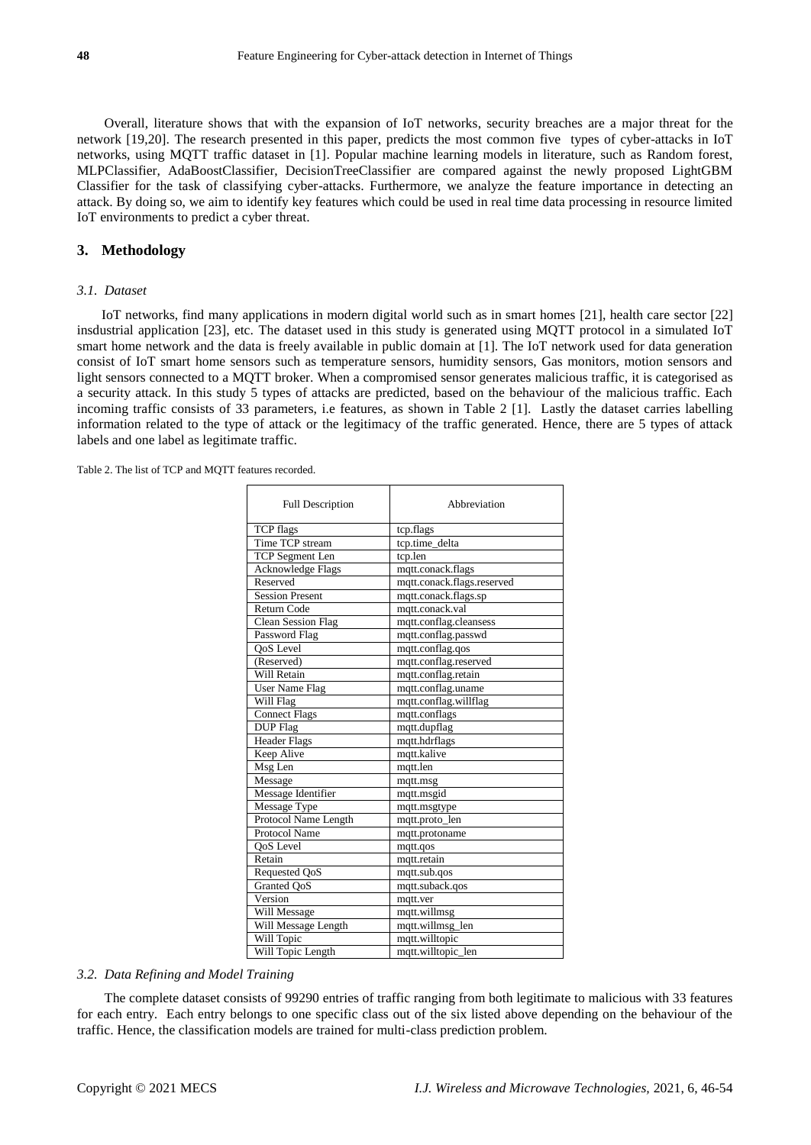Overall, literature shows that with the expansion of IoT networks, security breaches are a major threat for the network [19,20]. The research presented in this paper, predicts the most common five types of cyber-attacks in IoT networks, using MQTT traffic dataset in [1]. Popular machine learning models in literature, such as Random forest, MLPClassifier, AdaBoostClassifier, DecisionTreeClassifier are compared against the newly proposed LightGBM Classifier for the task of classifying cyber-attacks. Furthermore, we analyze the feature importance in detecting an attack. By doing so, we aim to identify key features which could be used in real time data processing in resource limited IoT environments to predict a cyber threat.

## **3. Methodology**

### *3.1. Dataset*

IoT networks, find many applications in modern digital world such as in smart homes [21], health care sector [22] insdustrial application [23], etc. The dataset used in this study is generated using MQTT protocol in a simulated IoT smart home network and the data is freely available in public domain at [1]. The IoT network used for data generation consist of IoT smart home sensors such as temperature sensors, humidity sensors, Gas monitors, motion sensors and light sensors connected to a MQTT broker. When a compromised sensor generates malicious traffic, it is categorised as a security attack. In this study 5 types of attacks are predicted, based on the behaviour of the malicious traffic. Each incoming traffic consists of 33 parameters, i.e features, as shown in Table 2 [1]. Lastly the dataset carries labelling information related to the type of attack or the legitimacy of the traffic generated. Hence, there are 5 types of attack labels and one label as legitimate traffic.

Table 2. The list of TCP and MQTT features recorded.

| <b>Full Description</b>   | Abbreviation               |  |  |  |
|---------------------------|----------------------------|--|--|--|
| <b>TCP</b> flags          | tcp.flags                  |  |  |  |
| Time TCP stream           | tcp.time_delta             |  |  |  |
| <b>TCP</b> Segment Len    | tcp.len                    |  |  |  |
| <b>Acknowledge Flags</b>  | mqtt.conack.flags          |  |  |  |
| Reserved                  | mqtt.conack.flags.reserved |  |  |  |
| <b>Session Present</b>    | mqtt.conack.flags.sp       |  |  |  |
| <b>Return Code</b>        | mqtt.conack.val            |  |  |  |
| <b>Clean Session Flag</b> | mqtt.conflag.cleansess     |  |  |  |
| Password Flag             | mqtt.conflag.passwd        |  |  |  |
| OoS Level                 | mqtt.conflag.qos           |  |  |  |
| (Reserved)                | mqtt.conflag.reserved      |  |  |  |
| Will Retain               | mqtt.conflag.retain        |  |  |  |
| <b>User Name Flag</b>     | mqtt.conflag.uname         |  |  |  |
| Will Flag                 | mqtt.conflag.willflag      |  |  |  |
| <b>Connect Flags</b>      | mqtt.conflags              |  |  |  |
| DUP Flag                  | mqtt.dupflag               |  |  |  |
| <b>Header Flags</b>       | mqtt.hdrflags              |  |  |  |
| Keep Alive                | mqtt.kalive                |  |  |  |
| Msg Len                   | mqtt.len                   |  |  |  |
| Message                   | mqtt.msg                   |  |  |  |
| Message Identifier        | mqtt.msgid                 |  |  |  |
| Message Type              | mqtt.msgtype               |  |  |  |
| Protocol Name Length      | mqtt.proto_len             |  |  |  |
| <b>Protocol Name</b>      | mqtt.protoname             |  |  |  |
| QoS Level                 | mqtt.qos                   |  |  |  |
| Retain                    | mqtt.retain                |  |  |  |
| Requested QoS             | mqtt.sub.qos               |  |  |  |
| Granted QoS               | mqtt.suback.qos            |  |  |  |
| Version                   | mqtt.ver                   |  |  |  |
| Will Message              | mqtt.willmsg               |  |  |  |
| Will Message Length       | mqtt.willmsg_len           |  |  |  |
| Will Topic                | mqtt.willtopic             |  |  |  |
| Will Topic Length         | mqtt.willtopic_len         |  |  |  |

#### *3.2. Data Refining and Model Training*

The complete dataset consists of 99290 entries of traffic ranging from both legitimate to malicious with 33 features for each entry. Each entry belongs to one specific class out of the six listed above depending on the behaviour of the traffic. Hence, the classification models are trained for multi-class prediction problem.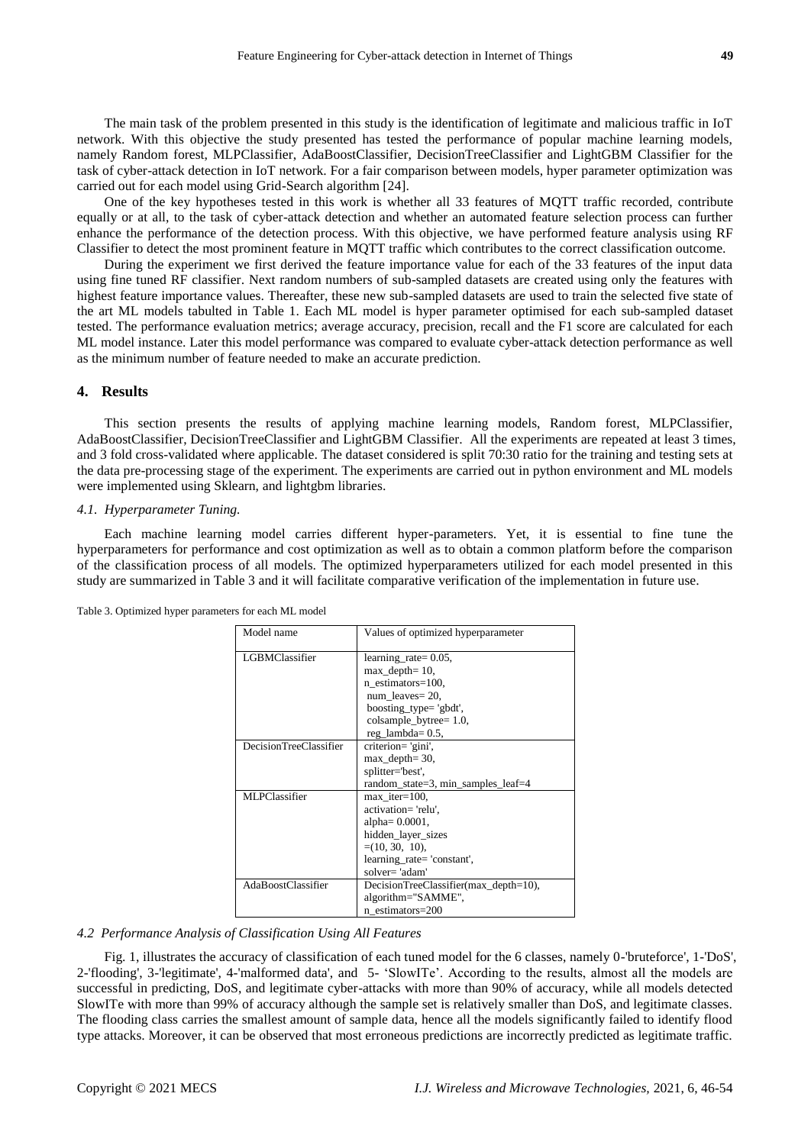The main task of the problem presented in this study is the identification of legitimate and malicious traffic in IoT network. With this objective the study presented has tested the performance of popular machine learning models, namely Random forest, MLPClassifier, AdaBoostClassifier, DecisionTreeClassifier and LightGBM Classifier for the task of cyber-attack detection in IoT network. For a fair comparison between models, hyper parameter optimization was carried out for each model using Grid-Search algorithm [24].

One of the key hypotheses tested in this work is whether all 33 features of MQTT traffic recorded, contribute equally or at all, to the task of cyber-attack detection and whether an automated feature selection process can further enhance the performance of the detection process. With this objective, we have performed feature analysis using RF Classifier to detect the most prominent feature in MQTT traffic which contributes to the correct classification outcome.

During the experiment we first derived the feature importance value for each of the 33 features of the input data using fine tuned RF classifier. Next random numbers of sub-sampled datasets are created using only the features with highest feature importance values. Thereafter, these new sub-sampled datasets are used to train the selected five state of the art ML models tabulted in Table 1. Each ML model is hyper parameter optimised for each sub-sampled dataset tested. The performance evaluation metrics; average accuracy, precision, recall and the F1 score are calculated for each ML model instance. Later this model performance was compared to evaluate cyber-attack detection performance as well as the minimum number of feature needed to make an accurate prediction.

#### **4. Results**

This section presents the results of applying machine learning models, Random forest, MLPClassifier, AdaBoostClassifier, DecisionTreeClassifier and LightGBM Classifier. All the experiments are repeated at least 3 times, and 3 fold cross-validated where applicable. The dataset considered is split 70:30 ratio for the training and testing sets at the data pre-processing stage of the experiment. The experiments are carried out in python environment and ML models were implemented using Sklearn, and lightgbm libraries.

#### *4.1. Hyperparameter Tuning.*

Each machine learning model carries different hyper-parameters. Yet, it is essential to fine tune the hyperparameters for performance and cost optimization as well as to obtain a common platform before the comparison of the classification process of all models. The optimized hyperparameters utilized for each model presented in this study are summarized in Table 3 and it will facilitate comparative verification of the implementation in future use.

| Model name                    | Values of optimized hyperparameter    |  |  |
|-------------------------------|---------------------------------------|--|--|
| <b>LGBMClassifier</b>         | learning rate = $0.05$ ,              |  |  |
|                               | $max$ depth= 10,                      |  |  |
|                               | n estimators=100,                     |  |  |
|                               | num leaves $= 20$ ,                   |  |  |
|                               | boosting_type= 'gbdt',                |  |  |
|                               | colsample_bytree= 1.0,                |  |  |
|                               | $reg$ _lambda= $0.5$ ,                |  |  |
| <b>DecisionTreeClassifier</b> | criterion='gini',                     |  |  |
|                               | $max$ depth= 30,                      |  |  |
|                               | splitter='best',                      |  |  |
|                               | random_state=3, min_samples_leaf=4    |  |  |
| MLPClassifier                 | $max$ <sub>_iter=100</sub> ,          |  |  |
|                               | activation='relu',                    |  |  |
|                               | alpha $= 0.0001$ ,                    |  |  |
|                               | hidden_layer_sizes                    |  |  |
|                               | $=(10, 30, 10)$ ,                     |  |  |
|                               | learning_rate='constant',             |  |  |
|                               | solver='adam'                         |  |  |
| <b>AdaBoostClassifier</b>     | DecisionTreeClassifier(max_depth=10), |  |  |
|                               | algorithm="SAMME",                    |  |  |
|                               | n estimators=200                      |  |  |

Table 3. Optimized hyper parameters for each ML model

#### *4.2 Performance Analysis of Classification Using All Features*

Fig. 1, illustrates the accuracy of classification of each tuned model for the 6 classes, namely 0-'bruteforce', 1-'DoS', 2-'flooding', 3-'legitimate', 4-'malformed data', and 5- "SlowITe". According to the results, almost all the models are successful in predicting, DoS, and legitimate cyber-attacks with more than 90% of accuracy, while all models detected SlowITe with more than 99% of accuracy although the sample set is relatively smaller than DoS, and legitimate classes. The flooding class carries the smallest amount of sample data, hence all the models significantly failed to identify flood type attacks. Moreover, it can be observed that most erroneous predictions are incorrectly predicted as legitimate traffic.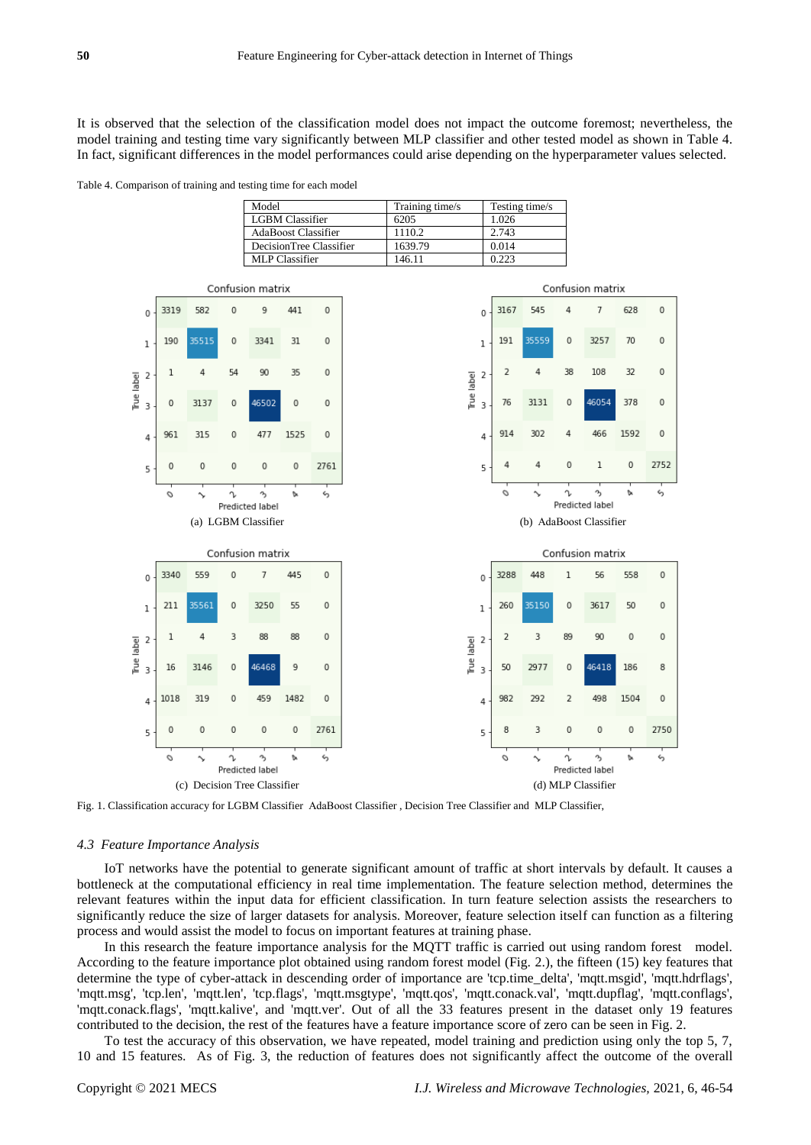It is observed that the selection of the classification model does not impact the outcome foremost; nevertheless, the model training and testing time vary significantly between MLP classifier and other tested model as shown in Table 4. In fact, significant differences in the model performances could arise depending on the hyperparameter values selected.

Table 4. Comparison of training and testing time for each model

| Model                      | Training time/s | Testing time/s |
|----------------------------|-----------------|----------------|
| <b>LGBM</b> Classifier     | 6205            | 1.026          |
| <b>AdaBoost Classifier</b> | 1110.2          | 2.743          |
| DecisionTree Classifier    | 1639.79         | 0.014          |
| MLP Classifier             | 146.11          | 0.223          |



Fig. 1. Classification accuracy for LGBM Classifier AdaBoost Classifier , Decision Tree Classifier and MLP Classifier,

#### *4.3 Feature Importance Analysis*

IoT networks have the potential to generate significant amount of traffic at short intervals by default. It causes a bottleneck at the computational efficiency in real time implementation. The feature selection method, determines the relevant features within the input data for efficient classification. In turn feature selection assists the researchers to significantly reduce the size of larger datasets for analysis. Moreover, feature selection itself can function as a filtering process and would assist the model to focus on important features at training phase.

In this research the feature importance analysis for the MQTT traffic is carried out using random forest model. According to the feature importance plot obtained using random forest model (Fig. 2.), the fifteen (15) key features that determine the type of cyber-attack in descending order of importance are 'tcp.time\_delta', 'mqtt.msgid', 'mqtt.hdrflags', 'mqtt.msg', 'tcp.len', 'mqtt.len', 'tcp.flags', 'mqtt.msgtype', 'mqtt.qos', 'mqtt.conack.val', 'mqtt.dupflag', 'mqtt.conflags', 'mqtt.conack.flags', 'mqtt.kalive', and 'mqtt.ver'. Out of all the 33 features present in the dataset only 19 features contributed to the decision, the rest of the features have a feature importance score of zero can be seen in Fig. 2.

To test the accuracy of this observation, we have repeated, model training and prediction using only the top 5, 7, 10 and 15 features. As of Fig. 3, the reduction of features does not significantly affect the outcome of the overall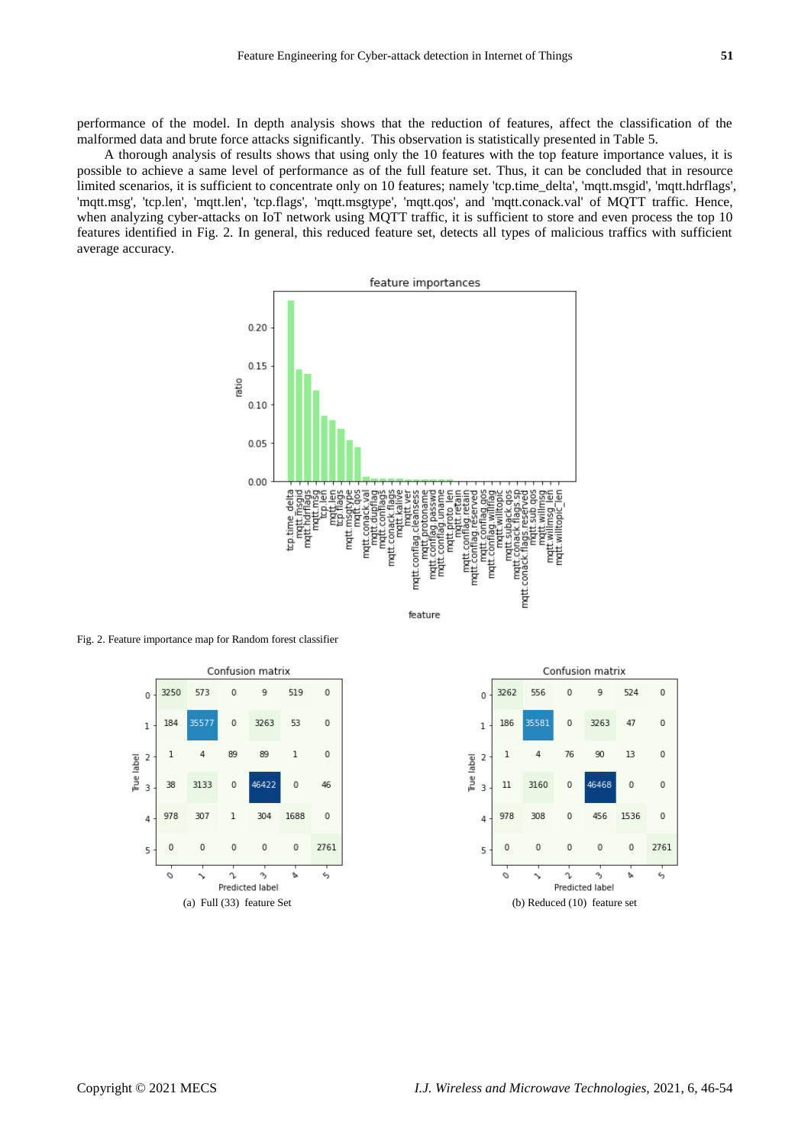performance of the model. In depth analysis shows that the reduction of features, affect the classification of the malformed data and brute force attacks significantly. This observation is statistically presented in Table 5.

A thorough analysis of results shows that using only the 10 features with the top feature importance values, it is possible to achieve a same level of performance as of the full feature set. Thus, it can be concluded that in resource limited scenarios, it is sufficient to concentrate only on 10 features; namely 'tcp.time\_delta', 'mqtt.msgid', 'mqtt.hdrflags', 'mqtt.msg', 'tcp.len', 'mqtt.len', 'tcp.flags', 'mqtt.msgtype', 'mqtt.qos', and 'mqtt.conack.val' of MQTT traffic. Hence, when analyzing cyber-attacks on IoT network using MQTT traffic, it is sufficient to store and even process the top 10 features identified in Fig. 2. In general, this reduced feature set, detects all types of malicious traffics with sufficient average accuracy.



Fig. 2. Feature importance map for Random forest classifier



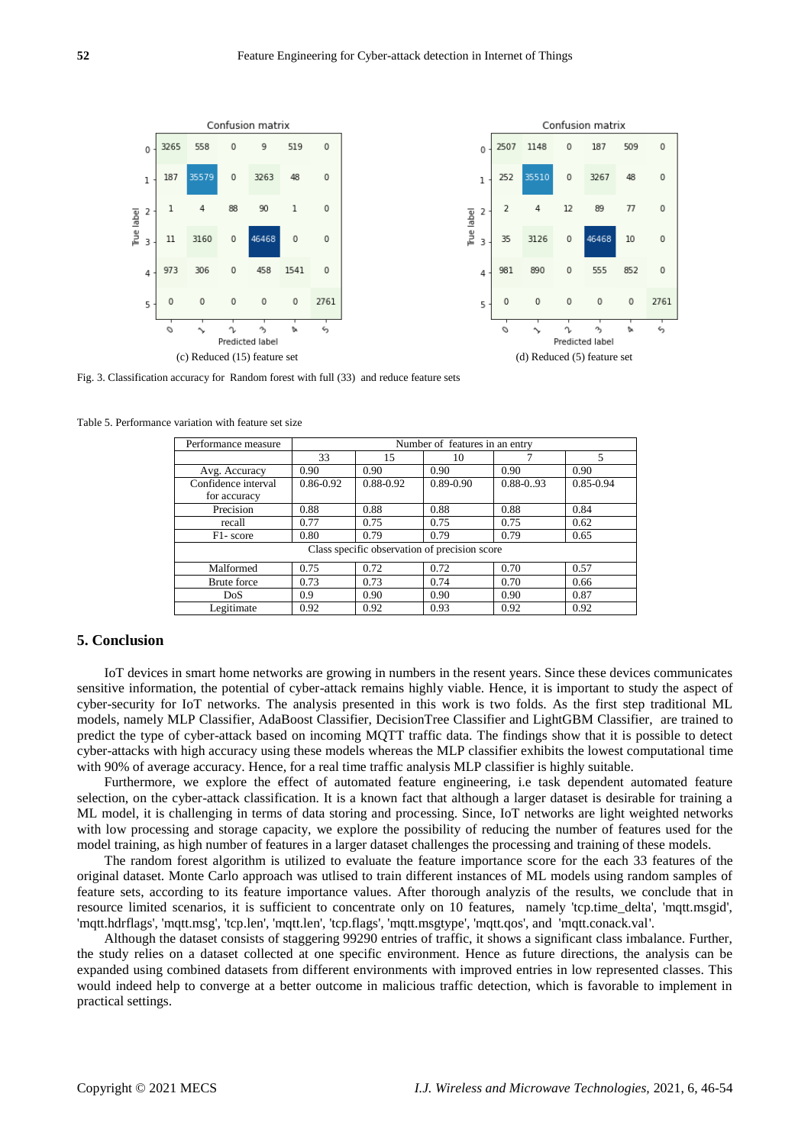

Fig. 3. Classification accuracy for Random forest with full (33) and reduce feature sets

| Performance measure                           | Number of features in an entry |           |           |               |           |  |  |
|-----------------------------------------------|--------------------------------|-----------|-----------|---------------|-----------|--|--|
|                                               | 33                             | 15        | 10        |               | 5         |  |  |
| Avg. Accuracy                                 | 0.90                           | 0.90      | 0.90      | 0.90          | 0.90      |  |  |
| Confidence interval                           | 0.86-0.92                      | 0.88-0.92 | 0.89-0.90 | $0.88 - 0.93$ | 0.85-0.94 |  |  |
| for accuracy                                  |                                |           |           |               |           |  |  |
| Precision                                     | 0.88                           | 0.88      | 0.88      | 0.88          | 0.84      |  |  |
| recall                                        | 0.77                           | 0.75      | 0.75      | 0.75          | 0.62      |  |  |
| F <sub>1</sub> -score                         | 0.80                           | 0.79      | 0.79      | 0.79          | 0.65      |  |  |
| Class specific observation of precision score |                                |           |           |               |           |  |  |
| Malformed                                     | 0.75                           | 0.72      | 0.72      | 0.70          | 0.57      |  |  |
| <b>Brute</b> force                            | 0.73                           | 0.73      | 0.74      | 0.70          | 0.66      |  |  |
| DoS                                           | 0.9                            | 0.90      | 0.90      | 0.90          | 0.87      |  |  |
| Legitimate                                    | 0.92                           | 0.92      | 0.93      | 0.92          | 0.92      |  |  |

Table 5. Performance variation with feature set size

#### **5. Conclusion**

IoT devices in smart home networks are growing in numbers in the resent years. Since these devices communicates sensitive information, the potential of cyber-attack remains highly viable. Hence, it is important to study the aspect of cyber-security for IoT networks. The analysis presented in this work is two folds. As the first step traditional ML models, namely MLP Classifier, AdaBoost Classifier, DecisionTree Classifier and LightGBM Classifier, are trained to predict the type of cyber-attack based on incoming MQTT traffic data. The findings show that it is possible to detect cyber-attacks with high accuracy using these models whereas the MLP classifier exhibits the lowest computational time with 90% of average accuracy. Hence, for a real time traffic analysis MLP classifier is highly suitable.

Furthermore, we explore the effect of automated feature engineering, i.e task dependent automated feature selection, on the cyber-attack classification. It is a known fact that although a larger dataset is desirable for training a ML model, it is challenging in terms of data storing and processing. Since, IoT networks are light weighted networks with low processing and storage capacity, we explore the possibility of reducing the number of features used for the model training, as high number of features in a larger dataset challenges the processing and training of these models.

The random forest algorithm is utilized to evaluate the feature importance score for the each 33 features of the original dataset. Monte Carlo approach was utlised to train different instances of ML models using random samples of feature sets, according to its feature importance values. After thorough analyzis of the results, we conclude that in resource limited scenarios, it is sufficient to concentrate only on 10 features, namely 'tcp.time\_delta', 'mqtt.msgid', 'mqtt.hdrflags', 'mqtt.msg', 'tcp.len', 'mqtt.len', 'tcp.flags', 'mqtt.msgtype', 'mqtt.qos', and 'mqtt.conack.val'.

Although the dataset consists of staggering 99290 entries of traffic, it shows a significant class imbalance. Further, the study relies on a dataset collected at one specific environment. Hence as future directions, the analysis can be expanded using combined datasets from different environments with improved entries in low represented classes. This would indeed help to converge at a better outcome in malicious traffic detection, which is favorable to implement in practical settings.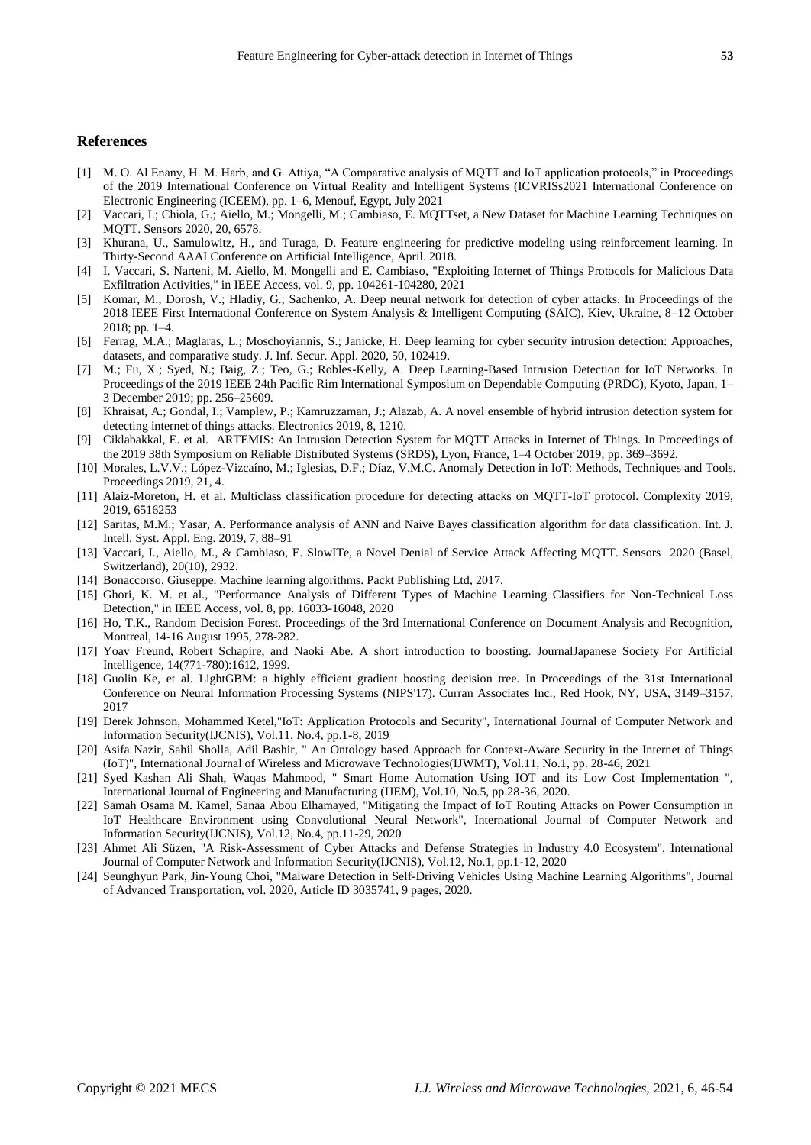## **References**

- [1] M. O. Al Enany, H. M. Harb, and G. Attiya, "A Comparative analysis of MQTT and IoT application protocols," in Proceedings of the 2019 International Conference on Virtual Reality and Intelligent Systems (ICVRISs2021 International Conference on Electronic Engineering (ICEEM), pp. 1–6, Menouf, Egypt, July 2021
- [2] Vaccari, I.; Chiola, G.; Aiello, M.; Mongelli, M.; Cambiaso, E. MQTTset, a New Dataset for Machine Learning Techniques on MQTT. Sensors 2020, 20, 6578.
- [3] Khurana, U., Samulowitz, H., and Turaga, D. Feature engineering for predictive modeling using reinforcement learning. In Thirty-Second AAAI Conference on Artificial Intelligence, April. 2018.
- [4] I. Vaccari, S. Narteni, M. Aiello, M. Mongelli and E. Cambiaso, "Exploiting Internet of Things Protocols for Malicious Data Exfiltration Activities," in IEEE Access, vol. 9, pp. 104261-104280, 2021
- [5] Komar, M.; Dorosh, V.; Hladiy, G.; Sachenko, A. Deep neural network for detection of cyber attacks. In Proceedings of the 2018 IEEE First International Conference on System Analysis & Intelligent Computing (SAIC), Kiev, Ukraine, 8–12 October 2018; pp. 1–4.
- [6] Ferrag, M.A.; Maglaras, L.; Moschoyiannis, S.; Janicke, H. Deep learning for cyber security intrusion detection: Approaches, datasets, and comparative study. J. Inf. Secur. Appl. 2020, 50, 102419.
- [7] M.; Fu, X.; Syed, N.; Baig, Z.; Teo, G.; Robles-Kelly, A. Deep Learning-Based Intrusion Detection for IoT Networks. In Proceedings of the 2019 IEEE 24th Pacific Rim International Symposium on Dependable Computing (PRDC), Kyoto, Japan, 1– 3 December 2019; pp. 256–25609.
- [8] Khraisat, A.; Gondal, I.; Vamplew, P.; Kamruzzaman, J.; Alazab, A. A novel ensemble of hybrid intrusion detection system for detecting internet of things attacks. Electronics 2019, 8, 1210.
- [9] Ciklabakkal, E. et al. ARTEMIS: An Intrusion Detection System for MQTT Attacks in Internet of Things. In Proceedings of the 2019 38th Symposium on Reliable Distributed Systems (SRDS), Lyon, France, 1–4 October 2019; pp. 369–3692.
- [10] Morales, L.V.V.; López-Vizcaíno, M.; Iglesias, D.F.; Díaz, V.M.C. Anomaly Detection in IoT: Methods, Techniques and Tools. Proceedings 2019, 21, 4.
- [11] Alaiz-Moreton, H. et al. Multiclass classification procedure for detecting attacks on MQTT-IoT protocol. Complexity 2019, 2019, 6516253
- [12] Saritas, M.M.; Yasar, A. Performance analysis of ANN and Naive Bayes classification algorithm for data classification. Int. J. Intell. Syst. Appl. Eng. 2019, 7, 88–91
- [13] Vaccari, I., Aiello, M., & Cambiaso, E. SlowITe, a Novel Denial of Service Attack Affecting MQTT. Sensors 2020 (Basel, Switzerland), 20(10), 2932.
- [14] Bonaccorso, Giuseppe. Machine learning algorithms. Packt Publishing Ltd, 2017.
- [15] Ghori, K. M. et al., "Performance Analysis of Different Types of Machine Learning Classifiers for Non-Technical Loss Detection," in IEEE Access, vol. 8, pp. 16033-16048, 2020
- [16] Ho, T.K., Random Decision Forest. Proceedings of the 3rd International Conference on Document Analysis and Recognition, Montreal, 14-16 August 1995, 278-282.
- [17] Yoav Freund, Robert Schapire, and Naoki Abe. A short introduction to boosting. JournalJapanese Society For Artificial Intelligence, 14(771-780):1612, 1999.
- [18] Guolin Ke, et al. LightGBM: a highly efficient gradient boosting decision tree. In Proceedings of the 31st International Conference on Neural Information Processing Systems (NIPS'17). Curran Associates Inc., Red Hook, NY, USA, 3149–3157, 2017
- [19] Derek Johnson, Mohammed Ketel,"IoT: Application Protocols and Security", International Journal of Computer Network and Information Security(IJCNIS), Vol.11, No.4, pp.1-8, 2019
- [20] Asifa Nazir, Sahil Sholla, Adil Bashir, " An Ontology based Approach for Context-Aware Security in the Internet of Things (IoT)", International Journal of Wireless and Microwave Technologies(IJWMT), Vol.11, No.1, pp. 28-46, 2021
- [21] Syed Kashan Ali Shah, Waqas Mahmood, " Smart Home Automation Using IOT and its Low Cost Implementation ", International Journal of Engineering and Manufacturing (IJEM), Vol.10, No.5, pp.28-36, 2020.
- [22] Samah Osama M. Kamel, Sanaa Abou Elhamayed, "Mitigating the Impact of IoT Routing Attacks on Power Consumption in IoT Healthcare Environment using Convolutional Neural Network", International Journal of Computer Network and Information Security(IJCNIS), Vol.12, No.4, pp.11-29, 2020
- [23] Ahmet Ali Süzen, "A Risk-Assessment of Cyber Attacks and Defense Strategies in Industry 4.0 Ecosystem", International Journal of Computer Network and Information Security(IJCNIS), Vol.12, No.1, pp.1-12, 2020
- [24] Seunghyun Park, Jin-Young Choi, "Malware Detection in Self-Driving Vehicles Using Machine Learning Algorithms", Journal of Advanced Transportation, vol. 2020, Article ID 3035741, 9 pages, 2020.